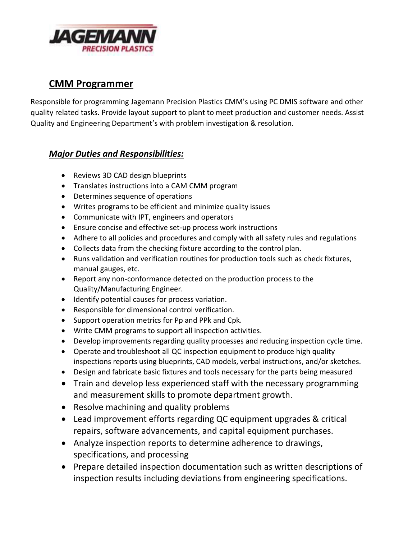

# **CMM Programmer**

Responsible for programming Jagemann Precision Plastics CMM's using PC DMIS software and other quality related tasks. Provide layout support to plant to meet production and customer needs. Assist Quality and Engineering Department's with problem investigation & resolution.

#### *Major Duties and Responsibilities:*

- Reviews 3D CAD design blueprints
- Translates instructions into a CAM CMM program
- Determines sequence of operations
- Writes programs to be efficient and minimize quality issues
- Communicate with IPT, engineers and operators
- Ensure concise and effective set-up process work instructions
- Adhere to all policies and procedures and comply with all safety rules and regulations
- Collects data from the checking fixture according to the control plan.
- Runs validation and verification routines for production tools such as check fixtures, manual gauges, etc.
- Report any non-conformance detected on the production process to the Quality/Manufacturing Engineer.
- $\bullet$  Identify potential causes for process variation.
- Responsible for dimensional control verification.
- Support operation metrics for Pp and PPk and Cpk.
- Write CMM programs to support all inspection activities.
- Develop improvements regarding quality processes and reducing inspection cycle time.
- Operate and troubleshoot all QC inspection equipment to produce high quality inspections reports using blueprints, CAD models, verbal instructions, and/or sketches.
- Design and fabricate basic fixtures and tools necessary for the parts being measured
- Train and develop less experienced staff with the necessary programming and measurement skills to promote department growth.
- Resolve machining and quality problems
- Lead improvement efforts regarding QC equipment upgrades & critical repairs, software advancements, and capital equipment purchases.
- Analyze inspection reports to determine adherence to drawings, specifications, and processing
- Prepare detailed inspection documentation such as written descriptions of inspection results including deviations from engineering specifications.